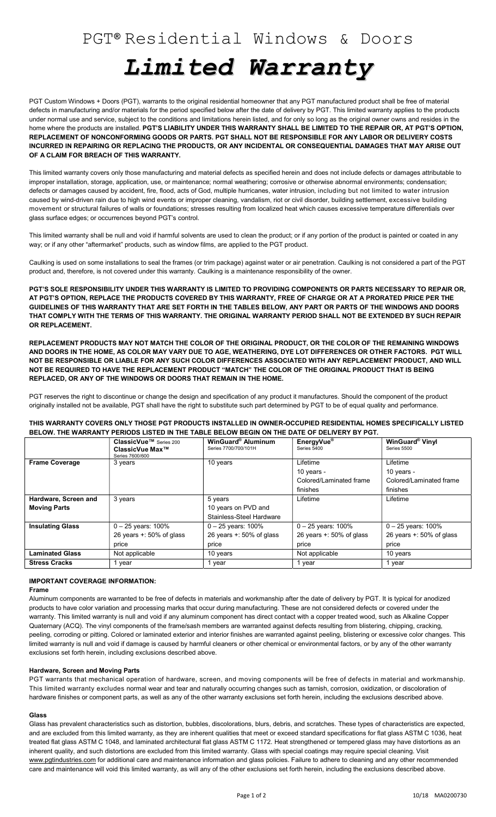# Limited Warranty

PGT Custom Windows + Doors (PGT), warrants to the original residential homeowner that any PGT manufactured product shall be free of material defects in manufacturing and/or materials for the period specified below after the date of delivery by PGT. This limited warranty applies to the products under normal use and service, subject to the conditions and limitations herein listed, and for only so long as the original owner owns and resides in the home where the products are installed. PGT'S LIABILITY UNDER THIS WARRANTY SHALL BE LIMITED TO THE REPAIR OR, AT PGT'S OPTION, REPLACEMENT OF NONCONFORMING GOODS OR PARTS. PGT SHALL NOT BE RESPONSIBLE FOR ANY LABOR OR DELIVERY COSTS INCURRED IN REPAIRING OR REPLACING THE PRODUCTS, OR ANY INCIDENTAL OR CONSEQUENTIAL DAMAGES THAT MAY ARISE OUT OF A CLAIM FOR BREACH OF THIS WARRANTY.

This limited warranty covers only those manufacturing and material defects as specified herein and does not include defects or damages attributable to improper installation, storage, application, use, or maintenance; normal weathering; corrosive or otherwise abnormal environments; condensation; defects or damages caused by accident, fire, flood, acts of God, multiple hurricanes, water intrusion, including but not limited to water intrusion caused by wind-driven rain due to high wind events or improper cleaning, vandalism, riot or civil disorder, building settlement, excessive building movement or structural failures of walls or foundations; stresses resulting from localized heat which causes excessive temperature differentials over glass surface edges; or occurrences beyond PGT's control.

This limited warranty shall be null and void if harmful solvents are used to clean the product; or if any portion of the product is painted or coated in any way; or if any other "aftermarket" products, such as window films, are applied to the PGT product.

Caulking is used on some installations to seal the frames (or trim package) against water or air penetration. Caulking is not considered a part of the PGT product and, therefore, is not covered under this warranty. Caulking is a maintenance responsibility of the owner.

PGT'S SOLE RESPONSIBILITY UNDER THIS WARRANTY IS LIMITED TO PROVIDING COMPONENTS OR PARTS NECESSARY TO REPAIR OR, AT PGT'S OPTION, REPLACE THE PRODUCTS COVERED BY THIS WARRANTY, FREE OF CHARGE OR AT A PRORATED PRICE PER THE GUIDELINES OF THIS WARRANTY THAT ARE SET FORTH IN THE TABLES BELOW, ANY PART OR PARTS OF THE WINDOWS AND DOORS THAT COMPLY WITH THE TERMS OF THIS WARRANTY. THE ORIGINAL WARRANTY PERIOD SHALL NOT BE EXTENDED BY SUCH REPAIR OR REPLACEMENT.

REPLACEMENT PRODUCTS MAY NOT MATCH THE COLOR OF THE ORIGINAL PRODUCT, OR THE COLOR OF THE REMAINING WINDOWS AND DOORS IN THE HOME, AS COLOR MAY VARY DUE TO AGE, WEATHERING, DYE LOT DIFFERENCES OR OTHER FACTORS. PGT WILL NOT BE RESPONSIBLE OR LIABLE FOR ANY SUCH COLOR DIFFERENCES ASSOCIATED WITH ANY REPLACEMENT PRODUCT, AND WILL NOT BE REQUIRED TO HAVE THE REPLACEMENT PRODUCT "MATCH" THE COLOR OF THE ORIGINAL PRODUCT THAT IS BEING REPLACED, OR ANY OF THE WINDOWS OR DOORS THAT REMAIN IN THE HOME.

PGT reserves the right to discontinue or change the design and specification of any product it manufactures. Should the component of the product originally installed not be available, PGT shall have the right to substitute such part determined by PGT to be of equal quality and performance.

THIS WARRANTY COVERS ONLY THOSE PGT PRODUCTS INSTALLED IN OWNER-OCCUPIED RESIDENTIAL HOMES SPECIFICALLY LISTED BELOW. THE WARRANTY PERIODS LISTED IN THE TABLE BELOW BEGIN ON THE DATE OF DELIVERY BY PGT.

|                         | ClassicVue <sup>™</sup> Series 200<br>ClassicVue Max™<br>Series 7600/600 | WinGuard® Aluminum<br>Series 7700/700/101H | EnergyVue <sup>®</sup><br>Series 5400 | <b>WinGuard® Vinyl</b><br>Series 5500 |
|-------------------------|--------------------------------------------------------------------------|--------------------------------------------|---------------------------------------|---------------------------------------|
| <b>Frame Coverage</b>   | 3 years                                                                  | 10 years                                   | Lifetime                              | Lifetime                              |
|                         |                                                                          |                                            | 10 years -                            | 10 years -                            |
|                         |                                                                          |                                            | Colored/Laminated frame               | Colored/Laminated frame               |
|                         |                                                                          |                                            | finishes                              | finishes                              |
| Hardware, Screen and    | 3 years                                                                  | 5 years                                    | Lifetime                              | Lifetime                              |
| <b>Moving Parts</b>     |                                                                          | 10 years on PVD and                        |                                       |                                       |
|                         |                                                                          | Stainless-Steel Hardware                   |                                       |                                       |
| <b>Insulating Glass</b> | $0 - 25$ years: 100%                                                     | $0 - 25$ years: 100%                       | $0 - 25$ years: 100%                  | $0 - 25$ years: 100%                  |
|                         | 26 years $+$ : 50% of glass                                              | 26 years $+$ : 50% of glass                | 26 years $+$ : 50% of glass           | 26 years $+$ : 50% of glass           |
|                         | price                                                                    | price                                      | price                                 | price                                 |
| <b>Laminated Glass</b>  | Not applicable                                                           | 10 years                                   | Not applicable                        | 10 years                              |
| <b>Stress Cracks</b>    | 1 year                                                                   | 1 year                                     | 1 year                                | 1 year                                |

# IMPORTANT COVERAGE INFORMATION:

Frame

Aluminum components are warranted to be free of defects in materials and workmanship after the date of delivery by PGT. It is typical for anodized products to have color variation and processing marks that occur during manufacturing. These are not considered defects or covered under the warranty. This limited warranty is null and void if any aluminum component has direct contact with a copper treated wood, such as Alkaline Copper Quaternary (ACQ). The vinyl components of the frame/sash members are warranted against defects resulting from blistering, chipping, cracking, peeling, corroding or pitting. Colored or laminated exterior and interior finishes are warranted against peeling, blistering or excessive color changes. This limited warranty is null and void if damage is caused by harmful cleaners or other chemical or environmental factors, or by any of the other warranty exclusions set forth herein, including exclusions described above.

## Hardware, Screen and Moving Parts

PGT warrants that mechanical operation of hardware, screen, and moving components will be free of defects in material and workmanship. This limited warranty excludes normal wear and tear and naturally occurring changes such as tarnish, corrosion, oxidization, or discoloration of hardware finishes or component parts, as well as any of the other warranty exclusions set forth herein, including the exclusions described above.

## Glass

Glass has prevalent characteristics such as distortion, bubbles, discolorations, blurs, debris, and scratches. These types of characteristics are expected, and are excluded from this limited warranty, as they are inherent qualities that meet or exceed standard specifications for flat glass ASTM C 1036, heat treated flat glass ASTM C 1048, and laminated architectural flat glass ASTM C 1172. Heat strengthened or tempered glass may have distortions as an inherent quality, and such distortions are excluded from this limited warranty. Glass with special coatings may require special cleaning. Visit www.pgtindustries.com for additional care and maintenance information and glass policies. Failure to adhere to cleaning and any other recommended care and maintenance will void this limited warranty, as will any of the other exclusions set forth herein, including the exclusions described above.